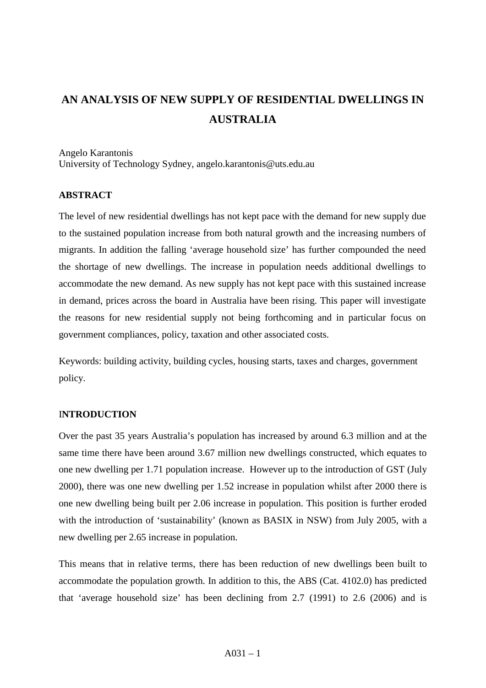# **AN ANALYSIS OF NEW SUPPLY OF RESIDENTIAL DWELLINGS IN AUSTRALIA**

Angelo Karantonis University of Technology Sydney, angelo.karantonis@uts.edu.au

## **ABSTRACT**

The level of new residential dwellings has not kept pace with the demand for new supply due to the sustained population increase from both natural growth and the increasing numbers of migrants. In addition the falling 'average household size' has further compounded the need the shortage of new dwellings. The increase in population needs additional dwellings to accommodate the new demand. As new supply has not kept pace with this sustained increase in demand, prices across the board in Australia have been rising. This paper will investigate the reasons for new residential supply not being forthcoming and in particular focus on government compliances, policy, taxation and other associated costs.

Keywords: building activity, building cycles, housing starts, taxes and charges, government policy.

### I**NTRODUCTION**

Over the past 35 years Australia's population has increased by around 6.3 million and at the same time there have been around 3.67 million new dwellings constructed, which equates to one new dwelling per 1.71 population increase. However up to the introduction of GST (July 2000), there was one new dwelling per 1.52 increase in population whilst after 2000 there is one new dwelling being built per 2.06 increase in population. This position is further eroded with the introduction of 'sustainability' (known as BASIX in NSW) from July 2005, with a new dwelling per 2.65 increase in population.

This means that in relative terms, there has been reduction of new dwellings been built to accommodate the population growth. In addition to this, the ABS (Cat. 4102.0) has predicted that 'average household size' has been declining from 2.7 (1991) to 2.6 (2006) and is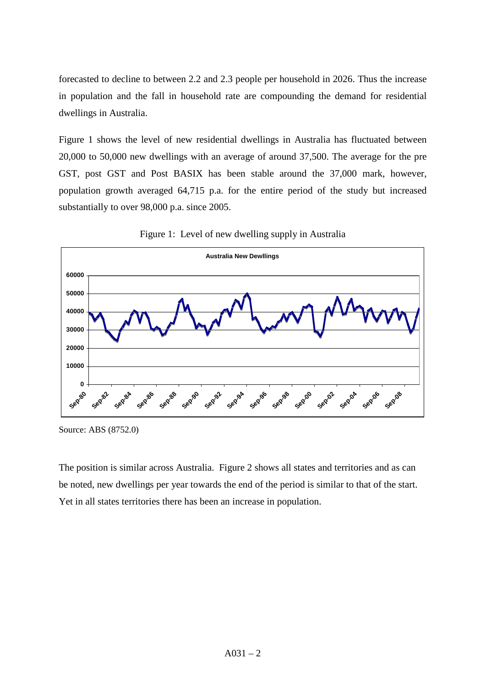forecasted to decline to between 2.2 and 2.3 people per household in 2026. Thus the increase in population and the fall in household rate are compounding the demand for residential dwellings in Australia.

Figure 1 shows the level of new residential dwellings in Australia has fluctuated between 20,000 to 50,000 new dwellings with an average of around 37,500. The average for the pre GST, post GST and Post BASIX has been stable around the 37,000 mark, however, population growth averaged 64,715 p.a. for the entire period of the study but increased substantially to over 98,000 p.a. since 2005.





The position is similar across Australia. Figure 2 shows all states and territories and as can be noted, new dwellings per year towards the end of the period is similar to that of the start. Yet in all states territories there has been an increase in population.

Source: ABS (8752.0)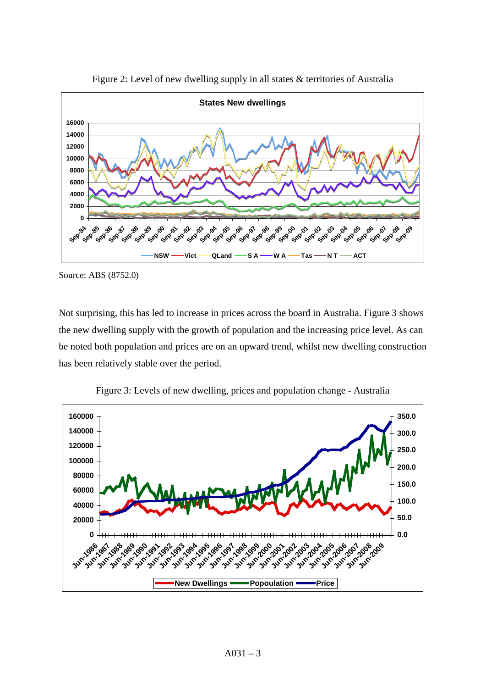

Figure 2: Level of new dwelling supply in all states & territories of Australia

Not surprising, this has led to increase in prices across the board in Australia. Figure 3 shows the new dwelling supply with the growth of population and the increasing price level. As can be noted both population and prices are on an upward trend, whilst new dwelling construction has been relatively stable over the period.



Figure 3: Levels of new dwelling, prices and population change - Australia

Source: ABS (8752.0)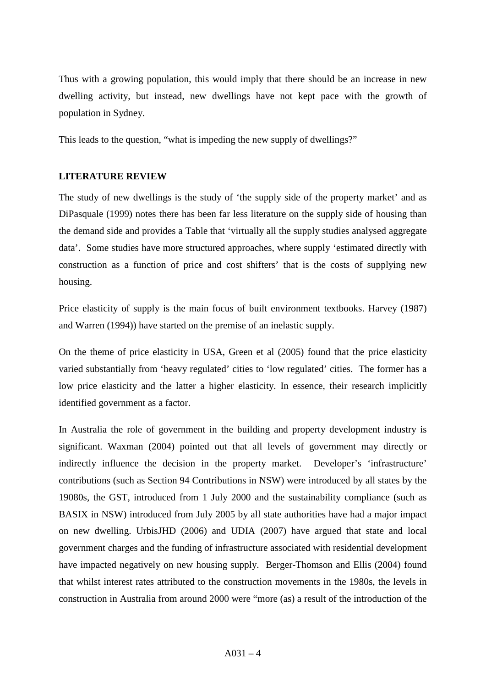Thus with a growing population, this would imply that there should be an increase in new dwelling activity, but instead, new dwellings have not kept pace with the growth of population in Sydney.

This leads to the question, "what is impeding the new supply of dwellings?"

# **LITERATURE REVIEW**

The study of new dwellings is the study of 'the supply side of the property market' and as DiPasquale (1999) notes there has been far less literature on the supply side of housing than the demand side and provides a Table that 'virtually all the supply studies analysed aggregate data'. Some studies have more structured approaches, where supply 'estimated directly with construction as a function of price and cost shifters' that is the costs of supplying new housing.

Price elasticity of supply is the main focus of built environment textbooks. Harvey (1987) and Warren (1994)) have started on the premise of an inelastic supply.

On the theme of price elasticity in USA, Green et al (2005) found that the price elasticity varied substantially from 'heavy regulated' cities to 'low regulated' cities. The former has a low price elasticity and the latter a higher elasticity. In essence, their research implicitly identified government as a factor.

In Australia the role of government in the building and property development industry is significant. Waxman (2004) pointed out that all levels of government may directly or indirectly influence the decision in the property market. Developer's 'infrastructure' contributions (such as Section 94 Contributions in NSW) were introduced by all states by the 19080s, the GST, introduced from 1 July 2000 and the sustainability compliance (such as BASIX in NSW) introduced from July 2005 by all state authorities have had a major impact on new dwelling. UrbisJHD (2006) and UDIA (2007) have argued that state and local government charges and the funding of infrastructure associated with residential development have impacted negatively on new housing supply. Berger-Thomson and Ellis (2004) found that whilst interest rates attributed to the construction movements in the 1980s, the levels in construction in Australia from around 2000 were "more (as) a result of the introduction of the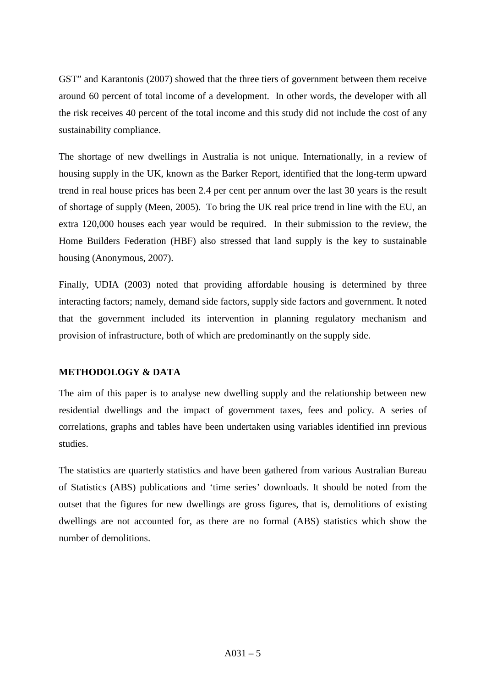GST" and Karantonis (2007) showed that the three tiers of government between them receive around 60 percent of total income of a development. In other words, the developer with all the risk receives 40 percent of the total income and this study did not include the cost of any sustainability compliance.

The shortage of new dwellings in Australia is not unique. Internationally, in a review of housing supply in the UK, known as the Barker Report, identified that the long-term upward trend in real house prices has been 2.4 per cent per annum over the last 30 years is the result of shortage of supply (Meen, 2005). To bring the UK real price trend in line with the EU, an extra 120,000 houses each year would be required. In their submission to the review, the Home Builders Federation (HBF) also stressed that land supply is the key to sustainable housing (Anonymous, 2007).

Finally, UDIA (2003) noted that providing affordable housing is determined by three interacting factors; namely, demand side factors, supply side factors and government. It noted that the government included its intervention in planning regulatory mechanism and provision of infrastructure, both of which are predominantly on the supply side.

# **METHODOLOGY & DATA**

The aim of this paper is to analyse new dwelling supply and the relationship between new residential dwellings and the impact of government taxes, fees and policy. A series of correlations, graphs and tables have been undertaken using variables identified inn previous studies.

The statistics are quarterly statistics and have been gathered from various Australian Bureau of Statistics (ABS) publications and 'time series' downloads. It should be noted from the outset that the figures for new dwellings are gross figures, that is, demolitions of existing dwellings are not accounted for, as there are no formal (ABS) statistics which show the number of demolitions.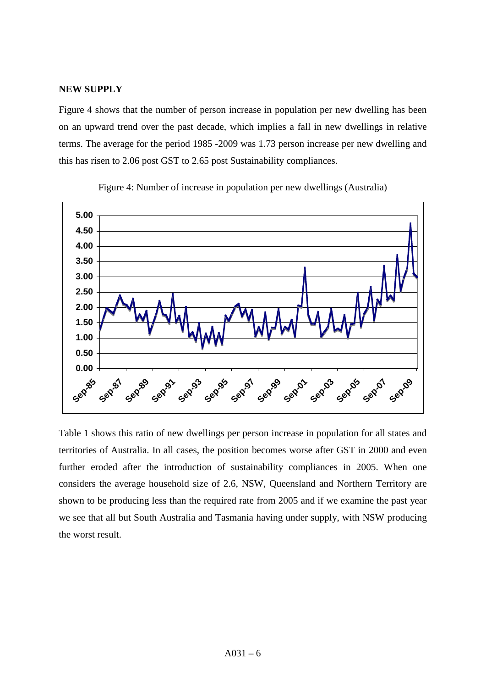### **NEW SUPPLY**

Figure 4 shows that the number of person increase in population per new dwelling has been on an upward trend over the past decade, which implies a fall in new dwellings in relative terms. The average for the period 1985 -2009 was 1.73 person increase per new dwelling and this has risen to 2.06 post GST to 2.65 post Sustainability compliances.





Table 1 shows this ratio of new dwellings per person increase in population for all states and territories of Australia. In all cases, the position becomes worse after GST in 2000 and even further eroded after the introduction of sustainability compliances in 2005. When one considers the average household size of 2.6, NSW, Queensland and Northern Territory are shown to be producing less than the required rate from 2005 and if we examine the past year we see that all but South Australia and Tasmania having under supply, with NSW producing the worst result.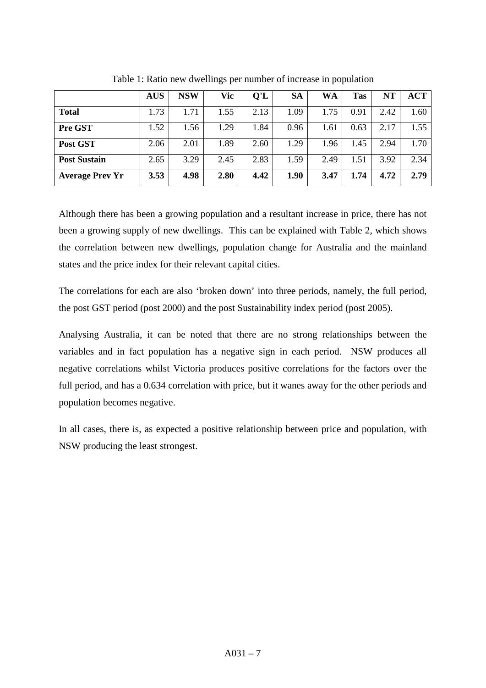|                        | <b>AUS</b> | <b>NSW</b> | Vic  | Q'L  | <b>SA</b> | WA   | <b>Tas</b> | <b>NT</b> | ACT  |
|------------------------|------------|------------|------|------|-----------|------|------------|-----------|------|
| <b>Total</b>           | 1.73       | 1.71       | 1.55 | 2.13 | 1.09      | 1.75 | 0.91       | 2.42      | 1.60 |
| Pre GST                | 1.52       | 1.56       | 1.29 | 1.84 | 0.96      | 1.61 | 0.63       | 2.17      | 1.55 |
| Post GST               | 2.06       | 2.01       | 1.89 | 2.60 | 1.29      | 1.96 | 1.45       | 2.94      | 1.70 |
| <b>Post Sustain</b>    | 2.65       | 3.29       | 2.45 | 2.83 | 1.59      | 2.49 | 1.51       | 3.92      | 2.34 |
| <b>Average Prev Yr</b> | 3.53       | 4.98       | 2.80 | 4.42 | 1.90      | 3.47 | 1.74       | 4.72      | 2.79 |

Table 1: Ratio new dwellings per number of increase in population

Although there has been a growing population and a resultant increase in price, there has not been a growing supply of new dwellings. This can be explained with Table 2, which shows the correlation between new dwellings, population change for Australia and the mainland states and the price index for their relevant capital cities.

The correlations for each are also 'broken down' into three periods, namely, the full period, the post GST period (post 2000) and the post Sustainability index period (post 2005).

Analysing Australia, it can be noted that there are no strong relationships between the variables and in fact population has a negative sign in each period. NSW produces all negative correlations whilst Victoria produces positive correlations for the factors over the full period, and has a 0.634 correlation with price, but it wanes away for the other periods and population becomes negative.

In all cases, there is, as expected a positive relationship between price and population, with NSW producing the least strongest.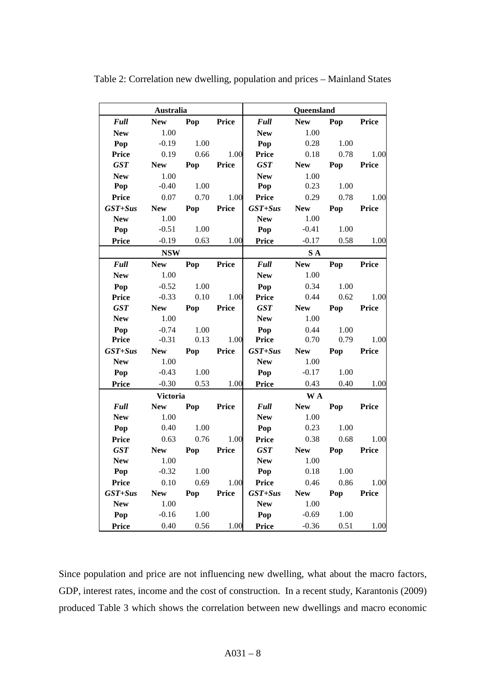| Australia    |                 |      |              |              | Queensland |      |              |
|--------------|-----------------|------|--------------|--------------|------------|------|--------------|
| <b>Full</b>  | <b>New</b>      | Pop  | <b>Price</b> | <b>Full</b>  | <b>New</b> | Pop  | <b>Price</b> |
| <b>New</b>   | 1.00            |      |              | <b>New</b>   | 1.00       |      |              |
| Pop          | $-0.19$         | 1.00 |              | Pop          | 0.28       | 1.00 |              |
| <b>Price</b> | 0.19            | 0.66 | 1.00         | <b>Price</b> | 0.18       | 0.78 | 1.00         |
| <b>GST</b>   | <b>New</b>      | Pop  | <b>Price</b> | <b>GST</b>   | <b>New</b> | Pop  | <b>Price</b> |
| <b>New</b>   | 1.00            |      |              | <b>New</b>   | 1.00       |      |              |
| Pop          | $-0.40$         | 1.00 |              | Pop          | 0.23       | 1.00 |              |
| <b>Price</b> | 0.07            | 0.70 | 1.00         | <b>Price</b> | 0.29       | 0.78 | 1.00         |
| $GST+Sus$    | <b>New</b>      | Pop  | Price        | $GST+Sus$    | <b>New</b> | Pop  | <b>Price</b> |
| <b>New</b>   | 1.00            |      |              | <b>New</b>   | 1.00       |      |              |
| Pop          | $-0.51$         | 1.00 |              | Pop          | $-0.41$    | 1.00 |              |
| <b>Price</b> | $-0.19$         | 0.63 | 1.00         | <b>Price</b> | $-0.17$    | 0.58 | 1.00         |
|              | <b>NSW</b>      |      |              |              | S A        |      |              |
| Full         | <b>New</b>      | Pop  | Price        | <b>Full</b>  | <b>New</b> | Pop  | <b>Price</b> |
| <b>New</b>   | 1.00            |      |              | <b>New</b>   | 1.00       |      |              |
| Pop          | $-0.52$         | 1.00 |              | Pop          | 0.34       | 1.00 |              |
| <b>Price</b> | $-0.33$         | 0.10 | 1.00         | <b>Price</b> | 0.44       | 0.62 | 1.00         |
| <b>GST</b>   | <b>New</b>      | Pop  | <b>Price</b> | <b>GST</b>   | <b>New</b> | Pop  | <b>Price</b> |
| <b>New</b>   | 1.00            |      |              | <b>New</b>   | 1.00       |      |              |
| Pop          | $-0.74$         | 1.00 |              | Pop          | 0.44       | 1.00 |              |
| <b>Price</b> | $-0.31$         | 0.13 | 1.00         | <b>Price</b> | 0.70       | 0.79 | 1.00         |
| $GST+Sus$    | <b>New</b>      | Pop  | Price        | $GST+Sus$    | <b>New</b> | Pop  | <b>Price</b> |
| <b>New</b>   | 1.00            |      |              | <b>New</b>   | 1.00       |      |              |
| Pop          | $-0.43$         | 1.00 |              | Pop          | $-0.17$    | 1.00 |              |
| <b>Price</b> | $-0.30$         | 0.53 | 1.00         | <b>Price</b> | 0.43       | 0.40 | 1.00         |
|              | <b>Victoria</b> |      |              |              | <b>WA</b>  |      |              |
| <b>Full</b>  | <b>New</b>      | Pop  | <b>Price</b> | <b>Full</b>  | <b>New</b> | Pop  | <b>Price</b> |
| <b>New</b>   | 1.00            |      |              | <b>New</b>   | 1.00       |      |              |
| Pop          | 0.40            | 1.00 |              | Pop          | 0.23       | 1.00 |              |
| <b>Price</b> | 0.63            | 0.76 | 1.00         | <b>Price</b> | 0.38       | 0.68 | 1.00         |
| <b>GST</b>   | <b>New</b>      | Pop  | <b>Price</b> | <b>GST</b>   | <b>New</b> | Pop  | <b>Price</b> |
| <b>New</b>   | 1.00            |      |              | <b>New</b>   | 1.00       |      |              |
| Pop          | $-0.32$         | 1.00 |              | Pop          | 0.18       | 1.00 |              |
| <b>Price</b> | 0.10            | 0.69 | 1.00         | <b>Price</b> | 0.46       | 0.86 | 1.00         |
| $GST+Sus$    | <b>New</b>      | Pop  | <b>Price</b> | $GST+Sus$    | <b>New</b> | Pop  | <b>Price</b> |
| <b>New</b>   | 1.00            |      |              | <b>New</b>   | 1.00       |      |              |
| Pop          | $-0.16$         | 1.00 |              | Pop          | $-0.69$    | 1.00 |              |
| <b>Price</b> | 0.40            | 0.56 | 1.00         | <b>Price</b> | $-0.36$    | 0.51 | 1.00         |

Table 2: Correlation new dwelling, population and prices – Mainland States

Since population and price are not influencing new dwelling, what about the macro factors, GDP, interest rates, income and the cost of construction. In a recent study, Karantonis (2009) produced Table 3 which shows the correlation between new dwellings and macro economic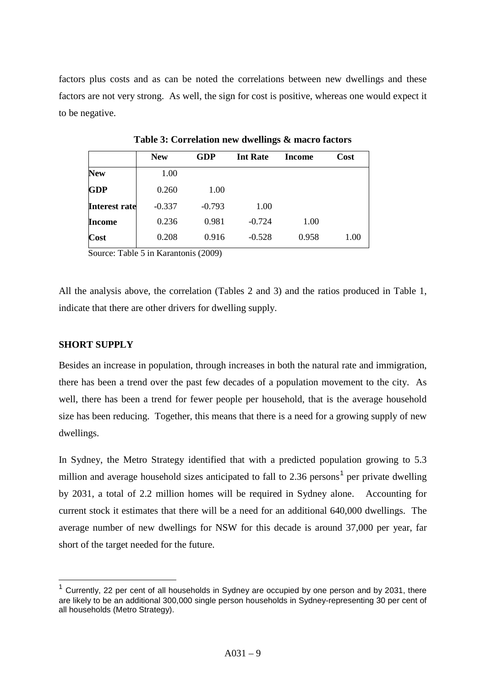factors plus costs and as can be noted the correlations between new dwellings and these factors are not very strong. As well, the sign for cost is positive, whereas one would expect it to be negative.

|                      | <b>New</b> | <b>GDP</b> | <b>Int Rate</b> | Income | Cost |
|----------------------|------------|------------|-----------------|--------|------|
| <b>New</b>           | 1.00       |            |                 |        |      |
| <b>GDP</b>           | 0.260      | 1.00       |                 |        |      |
| <b>Interest rate</b> | $-0.337$   | $-0.793$   | 1.00            |        |      |
| <b>Income</b>        | 0.236      | 0.981      | $-0.724$        | 1.00   |      |
| Cost                 | 0.208      | 0.916      | $-0.528$        | 0.958  | 1.00 |

**Table 3: Correlation new dwellings & macro factors**

Source: Table 5 in Karantonis (2009)

All the analysis above, the correlation (Tables 2 and 3) and the ratios produced in Table 1, indicate that there are other drivers for dwelling supply.

## **SHORT SUPPLY**

Besides an increase in population, through increases in both the natural rate and immigration, there has been a trend over the past few decades of a population movement to the city. As well, there has been a trend for fewer people per household, that is the average household size has been reducing. Together, this means that there is a need for a growing supply of new dwellings.

In Sydney, the Metro Strategy identified that with a predicted population growing to 5.3 million and average household sizes anticipated to fall to 2.36 persons<sup>[1](#page-8-0)</sup> per private dwelling by 2031, a total of 2.2 million homes will be required in Sydney alone. Accounting for current stock it estimates that there will be a need for an additional 640,000 dwellings. The average number of new dwellings for NSW for this decade is around 37,000 per year, far short of the target needed for the future.

<span id="page-8-0"></span>Currently, 22 per cent of all households in Sydney are occupied by one person and by 2031, there are likely to be an additional 300,000 single person households in Sydney-representing 30 per cent of all households (Metro Strategy).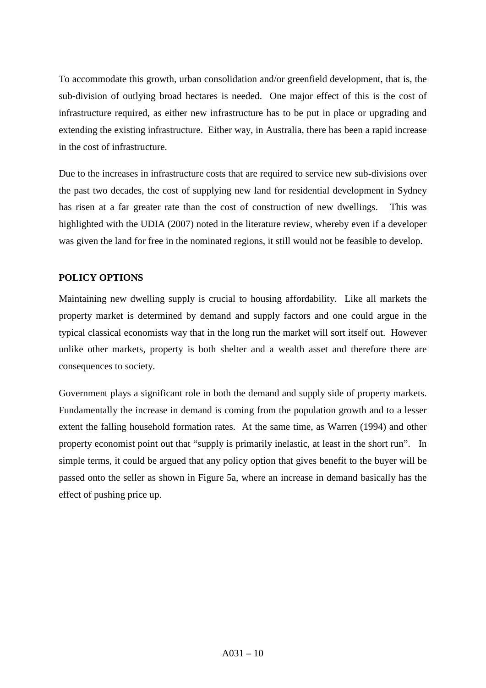To accommodate this growth, urban consolidation and/or greenfield development, that is, the sub-division of outlying broad hectares is needed. One major effect of this is the cost of infrastructure required, as either new infrastructure has to be put in place or upgrading and extending the existing infrastructure. Either way, in Australia, there has been a rapid increase in the cost of infrastructure.

Due to the increases in infrastructure costs that are required to service new sub-divisions over the past two decades, the cost of supplying new land for residential development in Sydney has risen at a far greater rate than the cost of construction of new dwellings. This was highlighted with the UDIA (2007) noted in the literature review, whereby even if a developer was given the land for free in the nominated regions, it still would not be feasible to develop.

# **POLICY OPTIONS**

Maintaining new dwelling supply is crucial to housing affordability. Like all markets the property market is determined by demand and supply factors and one could argue in the typical classical economists way that in the long run the market will sort itself out. However unlike other markets, property is both shelter and a wealth asset and therefore there are consequences to society.

Government plays a significant role in both the demand and supply side of property markets. Fundamentally the increase in demand is coming from the population growth and to a lesser extent the falling household formation rates. At the same time, as Warren (1994) and other property economist point out that "supply is primarily inelastic, at least in the short run". In simple terms, it could be argued that any policy option that gives benefit to the buyer will be passed onto the seller as shown in Figure 5a, where an increase in demand basically has the effect of pushing price up.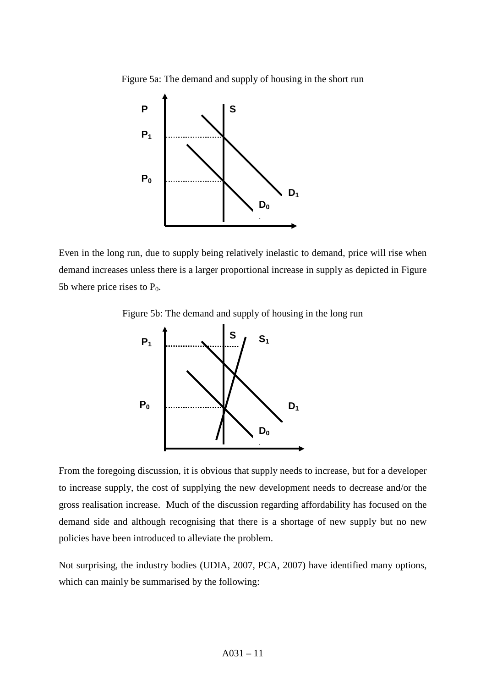Figure 5a: The demand and supply of housing in the short run



Even in the long run, due to supply being relatively inelastic to demand, price will rise when demand increases unless there is a larger proportional increase in supply as depicted in Figure 5b where price rises to  $P_0$ .

Figure 5b: The demand and supply of housing in the long run



From the foregoing discussion, it is obvious that supply needs to increase, but for a developer to increase supply, the cost of supplying the new development needs to decrease and/or the gross realisation increase. Much of the discussion regarding affordability has focused on the demand side and although recognising that there is a shortage of new supply but no new policies have been introduced to alleviate the problem.

Not surprising, the industry bodies (UDIA, 2007, PCA, 2007) have identified many options, which can mainly be summarised by the following: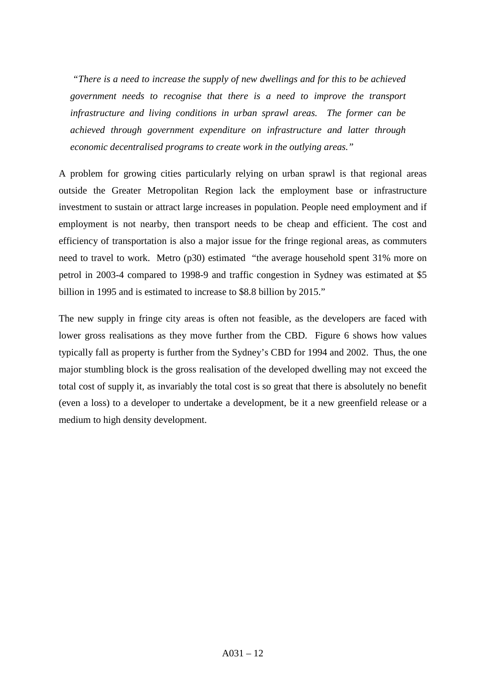*"There is a need to increase the supply of new dwellings and for this to be achieved government needs to recognise that there is a need to improve the transport infrastructure and living conditions in urban sprawl areas. The former can be achieved through government expenditure on infrastructure and latter through economic decentralised programs to create work in the outlying areas."*

A problem for growing cities particularly relying on urban sprawl is that regional areas outside the Greater Metropolitan Region lack the employment base or infrastructure investment to sustain or attract large increases in population. People need employment and if employment is not nearby, then transport needs to be cheap and efficient. The cost and efficiency of transportation is also a major issue for the fringe regional areas, as commuters need to travel to work. Metro (p30) estimated "the average household spent 31% more on petrol in 2003-4 compared to 1998-9 and traffic congestion in Sydney was estimated at \$5 billion in 1995 and is estimated to increase to \$8.8 billion by 2015."

The new supply in fringe city areas is often not feasible, as the developers are faced with lower gross realisations as they move further from the CBD. Figure 6 shows how values typically fall as property is further from the Sydney's CBD for 1994 and 2002. Thus, the one major stumbling block is the gross realisation of the developed dwelling may not exceed the total cost of supply it, as invariably the total cost is so great that there is absolutely no benefit (even a loss) to a developer to undertake a development, be it a new greenfield release or a medium to high density development.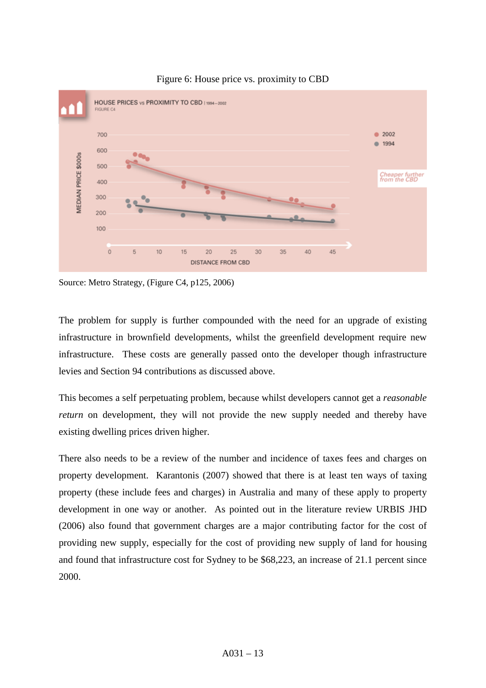

### Figure 6: House price vs. proximity to CBD

Source: Metro Strategy, (Figure C4, p125, 2006)

The problem for supply is further compounded with the need for an upgrade of existing infrastructure in brownfield developments, whilst the greenfield development require new infrastructure. These costs are generally passed onto the developer though infrastructure levies and Section 94 contributions as discussed above.

This becomes a self perpetuating problem, because whilst developers cannot get a *reasonable return* on development, they will not provide the new supply needed and thereby have existing dwelling prices driven higher.

There also needs to be a review of the number and incidence of taxes fees and charges on property development. Karantonis (2007) showed that there is at least ten ways of taxing property (these include fees and charges) in Australia and many of these apply to property development in one way or another. As pointed out in the literature review URBIS JHD (2006) also found that government charges are a major contributing factor for the cost of providing new supply, especially for the cost of providing new supply of land for housing and found that infrastructure cost for Sydney to be \$68,223, an increase of 21.1 percent since 2000.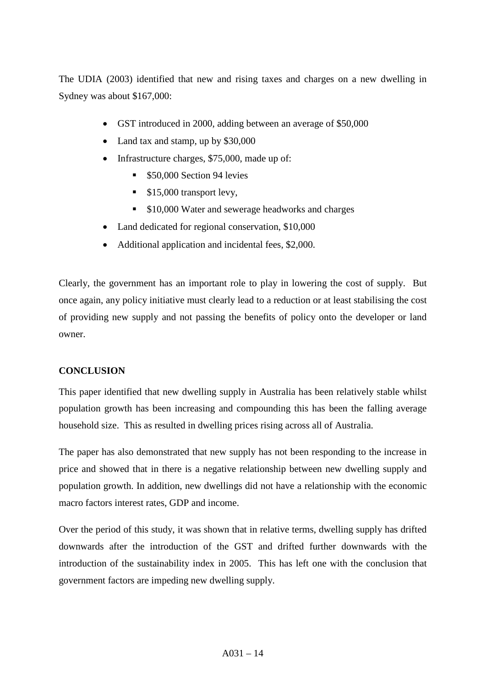The UDIA (2003) identified that new and rising taxes and charges on a new dwelling in Sydney was about \$167,000:

- GST introduced in 2000, adding between an average of \$50,000
- Land tax and stamp, up by \$30,000
- Infrastructure charges, \$75,000, made up of:
	- **550,000 Section 94 levies**
	- $\blacksquare$  \$15,000 transport levy,
	- **S10,000 Water and sewerage headworks and charges**
- Land dedicated for regional conservation, \$10,000
- Additional application and incidental fees, \$2,000.

Clearly, the government has an important role to play in lowering the cost of supply. But once again, any policy initiative must clearly lead to a reduction or at least stabilising the cost of providing new supply and not passing the benefits of policy onto the developer or land owner.

# **CONCLUSION**

This paper identified that new dwelling supply in Australia has been relatively stable whilst population growth has been increasing and compounding this has been the falling average household size. This as resulted in dwelling prices rising across all of Australia.

The paper has also demonstrated that new supply has not been responding to the increase in price and showed that in there is a negative relationship between new dwelling supply and population growth. In addition, new dwellings did not have a relationship with the economic macro factors interest rates, GDP and income.

Over the period of this study, it was shown that in relative terms, dwelling supply has drifted downwards after the introduction of the GST and drifted further downwards with the introduction of the sustainability index in 2005. This has left one with the conclusion that government factors are impeding new dwelling supply.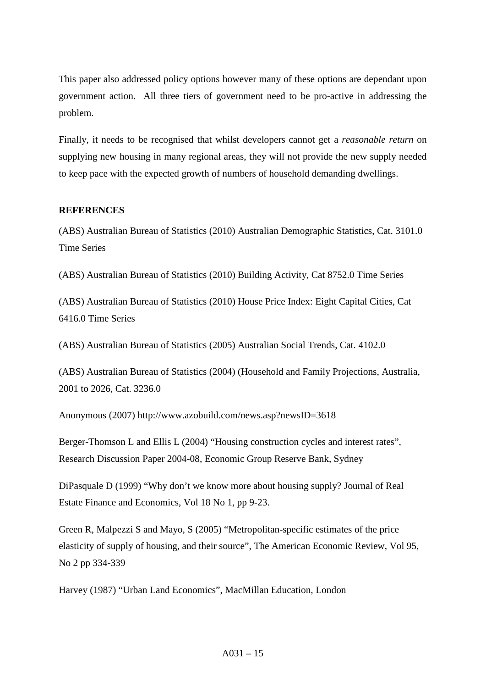This paper also addressed policy options however many of these options are dependant upon government action. All three tiers of government need to be pro-active in addressing the problem.

Finally, it needs to be recognised that whilst developers cannot get a *reasonable return* on supplying new housing in many regional areas, they will not provide the new supply needed to keep pace with the expected growth of numbers of household demanding dwellings.

### **REFERENCES**

(ABS) Australian Bureau of Statistics (2010) Australian Demographic Statistics, Cat. 3101.0 Time Series

(ABS) Australian Bureau of Statistics (2010) Building Activity, Cat 8752.0 Time Series

(ABS) Australian Bureau of Statistics (2010) House Price Index: Eight Capital Cities, Cat 6416.0 Time Series

(ABS) Australian Bureau of Statistics (2005) Australian Social Trends, Cat. 4102.0

(ABS) Australian Bureau of Statistics (2004) (Household and Family Projections, Australia, 2001 to 2026, Cat. 3236.0

Anonymous (2007) http://www.azobuild.com/news.asp?newsID=3618

Berger-Thomson L and Ellis L (2004) "Housing construction cycles and interest rates", Research Discussion Paper 2004-08, Economic Group Reserve Bank, Sydney

DiPasquale D (1999) "Why don't we know more about housing supply? Journal of Real Estate Finance and Economics, Vol 18 No 1, pp 9-23.

Green R, Malpezzi S and Mayo, S (2005) "Metropolitan-specific estimates of the price elasticity of supply of housing, and their source", The American Economic Review, Vol 95, No 2 pp 334-339

Harvey (1987) "Urban Land Economics", MacMillan Education, London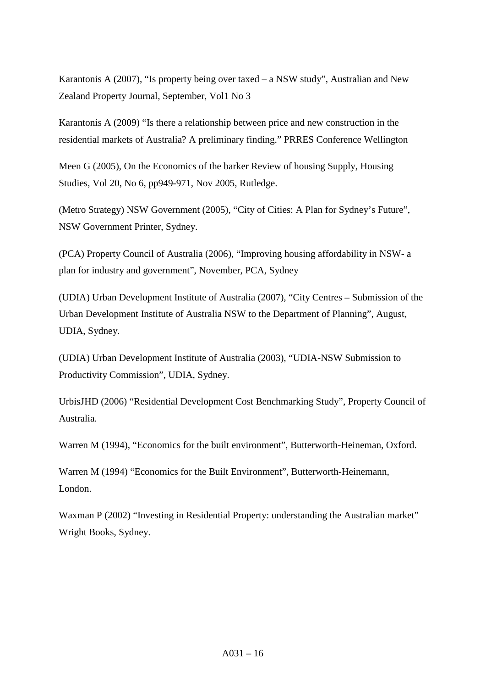Karantonis A (2007), "Is property being over taxed – a NSW study", Australian and New Zealand Property Journal, September, Vol1 No 3

Karantonis A (2009) "Is there a relationship between price and new construction in the residential markets of Australia? A preliminary finding." PRRES Conference Wellington

Meen G (2005), On the Economics of the barker Review of housing Supply, Housing Studies, Vol 20, No 6, pp949-971, Nov 2005, Rutledge.

(Metro Strategy) NSW Government (2005), "City of Cities: A Plan for Sydney's Future", NSW Government Printer, Sydney.

(PCA) Property Council of Australia (2006), "Improving housing affordability in NSW- a plan for industry and government", November, PCA, Sydney

(UDIA) Urban Development Institute of Australia (2007), "City Centres – Submission of the Urban Development Institute of Australia NSW to the Department of Planning", August, UDIA, Sydney.

(UDIA) Urban Development Institute of Australia (2003), "UDIA-NSW Submission to Productivity Commission", UDIA, Sydney.

UrbisJHD (2006) "Residential Development Cost Benchmarking Study", Property Council of Australia.

Warren M (1994), "Economics for the built environment", Butterworth-Heineman, Oxford.

Warren M (1994) "Economics for the Built Environment", Butterworth-Heinemann, London.

Waxman P (2002) "Investing in Residential Property: understanding the Australian market" Wright Books, Sydney.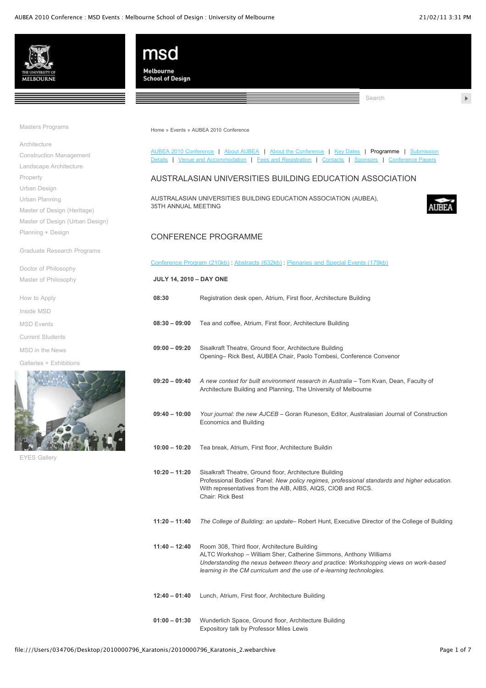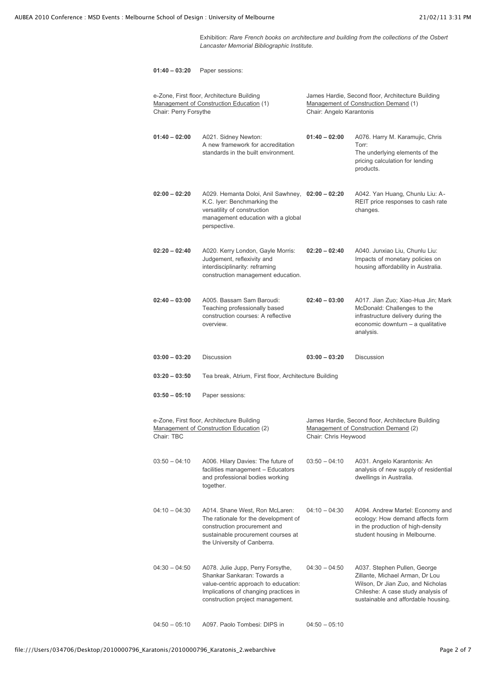Exhibition: *Rare French books on architecture and building from the collections of the Osbert Lancaster Memorial Bibliographic Institute.*

| $01:40 - 03:20$       | Paper sessions:                                                                                                                                                                       |                          |                                                                                                                                                                                   |
|-----------------------|---------------------------------------------------------------------------------------------------------------------------------------------------------------------------------------|--------------------------|-----------------------------------------------------------------------------------------------------------------------------------------------------------------------------------|
| Chair: Perry Forsythe | e-Zone, First floor, Architecture Building<br>Management of Construction Education (1)                                                                                                | Chair: Angelo Karantonis | James Hardie, Second floor, Architecture Building<br>Management of Construction Demand (1)                                                                                        |
| $01:40 - 02:00$       | A021. Sidney Newton:<br>A new framework for accreditation<br>standards in the built environment.                                                                                      | $01:40 - 02:00$          | A076. Harry M. Karamujic, Chris<br>Torr:<br>The underlying elements of the<br>pricing calculation for lending<br>products.                                                        |
| $02:00 - 02:20$       | A029. Hemanta Doloi, Anil Sawhney, 02:00 - 02:20<br>K.C. Iyer: Benchmarking the<br>versatility of construction<br>management education with a global<br>perspective.                  |                          | A042. Yan Huang, Chunlu Liu: A-<br>REIT price responses to cash rate<br>changes.                                                                                                  |
| $02:20 - 02:40$       | A020. Kerry London, Gayle Morris:<br>Judgement, reflexivity and<br>interdisciplinarity: reframing<br>construction management education.                                               | $02:20 - 02:40$          | A040. Junxiao Liu. Chunlu Liu:<br>Impacts of monetary policies on<br>housing affordability in Australia.                                                                          |
| $02:40 - 03:00$       | A005. Bassam Sam Baroudi:<br>Teaching professionally based<br>construction courses: A reflective<br>overview.                                                                         | $02:40 - 03:00$          | A017. Jian Zuo; Xiao-Hua Jin; Mark<br>McDonald: Challenges to the<br>infrastructure delivery during the<br>economic downturn - a qualitative<br>analysis.                         |
|                       |                                                                                                                                                                                       |                          |                                                                                                                                                                                   |
| $03:00 - 03:20$       | <b>Discussion</b>                                                                                                                                                                     | $03:00 - 03:20$          | <b>Discussion</b>                                                                                                                                                                 |
| $03:20 - 03:50$       | Tea break, Atrium, First floor, Architecture Building                                                                                                                                 |                          |                                                                                                                                                                                   |
| $03:50 - 05:10$       | Paper sessions:                                                                                                                                                                       |                          |                                                                                                                                                                                   |
| Chair: TBC            | e-Zone, First floor, Architecture Building<br>Management of Construction Education (2)                                                                                                | Chair: Chris Heywood     | James Hardie, Second floor, Architecture Building<br>Management of Construction Demand (2)                                                                                        |
| $03:50 - 04:10$       | A006. Hilary Davies: The future of<br>facilities management - Educators<br>and professional bodies working<br>together.                                                               | $03:50 - 04:10$          | A031. Angelo Karantonis: An<br>analysis of new supply of residential<br>dwellings in Australia.                                                                                   |
| $04:10 - 04:30$       | A014. Shane West, Ron McLaren:<br>The rationale for the development of<br>construction procurement and<br>sustainable procurement courses at<br>the University of Canberra.           | $04:10 - 04:30$          | A094. Andrew Martel: Economy and<br>ecology: How demand affects form<br>in the production of high-density<br>student housing in Melbourne.                                        |
| $04:30 - 04:50$       | A078. Julie Jupp, Perry Forsythe,<br>Shankar Sankaran: Towards a<br>value-centric approach to education:<br>Implications of changing practices in<br>construction project management. | $04:30 - 04:50$          | A037. Stephen Pullen, George<br>Zillante, Michael Arman, Dr Lou<br>Wilson, Dr Jian Zuo, and Nicholas<br>Chileshe: A case study analysis of<br>sustainable and affordable housing. |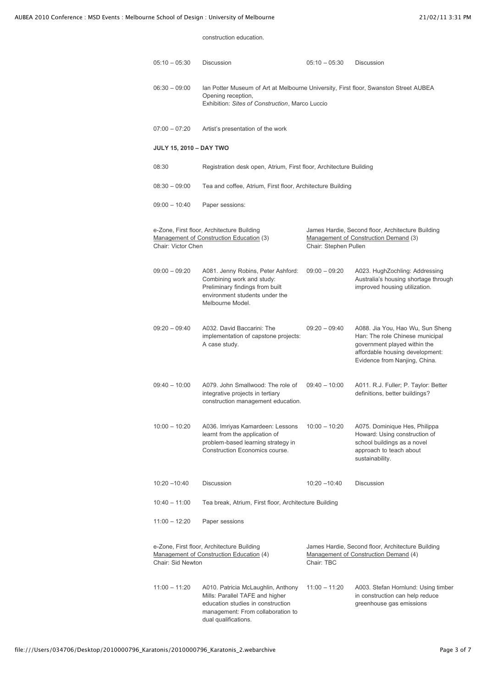construction education.

| $05:10 - 05:30$                | Discussion                                                                                                                                                              | $05:10 - 05:30$       | Discussion                                                                                                                                                              |
|--------------------------------|-------------------------------------------------------------------------------------------------------------------------------------------------------------------------|-----------------------|-------------------------------------------------------------------------------------------------------------------------------------------------------------------------|
| $06:30 - 09:00$                | Ian Potter Museum of Art at Melbourne University, First floor, Swanston Street AUBEA<br>Opening reception,<br>Exhibition: Sites of Construction, Marco Luccio           |                       |                                                                                                                                                                         |
| $07:00 - 07:20$                | Artist's presentation of the work                                                                                                                                       |                       |                                                                                                                                                                         |
| <b>JULY 15, 2010 - DAY TWO</b> |                                                                                                                                                                         |                       |                                                                                                                                                                         |
| 08:30                          | Registration desk open, Atrium, First floor, Architecture Building                                                                                                      |                       |                                                                                                                                                                         |
| $08:30 - 09:00$                | Tea and coffee, Atrium, First floor, Architecture Building                                                                                                              |                       |                                                                                                                                                                         |
| $09:00 - 10:40$                | Paper sessions:                                                                                                                                                         |                       |                                                                                                                                                                         |
| Chair: Victor Chen             | e-Zone, First floor, Architecture Building<br>Management of Construction Education (3)                                                                                  | Chair: Stephen Pullen | James Hardie, Second floor, Architecture Building<br>Management of Construction Demand (3)                                                                              |
| $09:00 - 09:20$                | A081. Jenny Robins, Peter Ashford:<br>Combining work and study:<br>Preliminary findings from built<br>environment students under the<br>Melbourne Model.                | $09:00 - 09:20$       | A023. HughZochling: Addressing<br>Australia's housing shortage through<br>improved housing utilization.                                                                 |
| $09:20 - 09:40$                | A032. David Baccarini: The<br>implementation of capstone projects:<br>A case study.                                                                                     | $09:20 - 09:40$       | A088. Jia You, Hao Wu, Sun Sheng<br>Han: The role Chinese municipal<br>government played within the<br>affordable housing development:<br>Evidence from Nanjing, China. |
| $09:40 - 10:00$                | A079. John Smallwood: The role of<br>integrative projects in tertiary<br>construction management education.                                                             | $09:40 - 10:00$       | A011. R.J. Fuller; P. Taylor: Better<br>definitions, better buildings?                                                                                                  |
| $10:00 - 10:20$                | A036. Imriyas Kamardeen: Lessons<br>learnt from the application of<br>problem-based learning strategy in<br>Construction Economics course.                              | $10:00 - 10:20$       | A075. Dominique Hes, Philippa<br>Howard: Using construction of<br>school buildings as a novel<br>approach to teach about<br>sustainability.                             |
| $10:20 - 10:40$                | Discussion                                                                                                                                                              | $10:20 - 10:40$       | <b>Discussion</b>                                                                                                                                                       |
| $10:40 - 11:00$                | Tea break, Atrium, First floor, Architecture Building                                                                                                                   |                       |                                                                                                                                                                         |
| $11:00 - 12:20$                | Paper sessions                                                                                                                                                          |                       |                                                                                                                                                                         |
| Chair: Sid Newton              | e-Zone, First floor, Architecture Building<br>Management of Construction Education (4)                                                                                  | Chair: TBC            | James Hardie, Second floor, Architecture Building<br>Management of Construction Demand (4)                                                                              |
| $11:00 - 11:20$                | A010. Patricia McLaughlin, Anthony<br>Mills: Parallel TAFE and higher<br>education studies in construction<br>management: From collaboration to<br>dual qualifications. | $11:00 - 11:20$       | A003. Stefan Hornlund: Using timber<br>in construction can help reduce<br>greenhouse gas emissions                                                                      |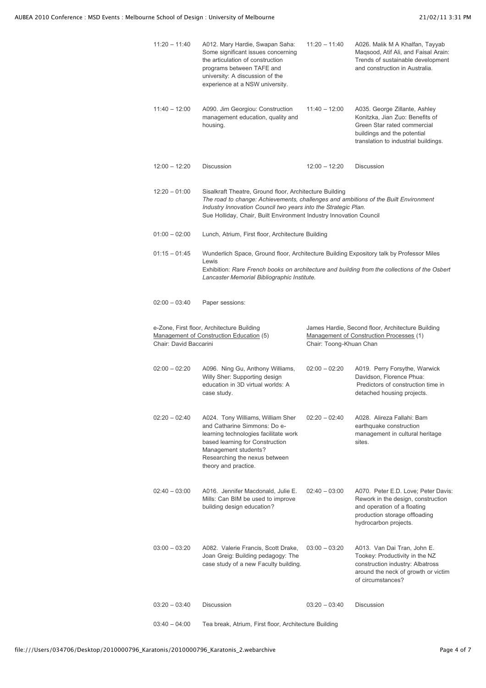| $11:20 - 11:40$        | A012. Mary Hardie, Swapan Saha:<br>Some significant issues concerning<br>the articulation of construction<br>programs between TAFE and<br>university: A discussion of the<br>experience at a NSW university.                                                                           | $11:20 - 11:40$         | A026. Malik M A Khalfan, Tayyab<br>Maqsood, Atif Ali, and Faisal Arain:<br>Trends of sustainable development<br>and construction in Australia.                         |
|------------------------|----------------------------------------------------------------------------------------------------------------------------------------------------------------------------------------------------------------------------------------------------------------------------------------|-------------------------|------------------------------------------------------------------------------------------------------------------------------------------------------------------------|
| $11:40 - 12:00$        | A090. Jim Georgiou: Construction<br>management education, quality and<br>housing.                                                                                                                                                                                                      | $11:40 - 12:00$         | A035. George Zillante, Ashley<br>Konitzka, Jian Zuo: Benefits of<br>Green Star rated commercial<br>buildings and the potential<br>translation to industrial buildings. |
| $12:00 - 12:20$        | <b>Discussion</b>                                                                                                                                                                                                                                                                      | $12:00 - 12:20$         | <b>Discussion</b>                                                                                                                                                      |
| $12:20 - 01:00$        | Sisalkraft Theatre, Ground floor, Architecture Building<br>The road to change: Achievements, challenges and ambitions of the Built Environment<br>Industry Innovation Council two years into the Strategic Plan.<br>Sue Holliday, Chair, Built Environment Industry Innovation Council |                         |                                                                                                                                                                        |
| $01:00 - 02:00$        | Lunch, Atrium, First floor, Architecture Building                                                                                                                                                                                                                                      |                         |                                                                                                                                                                        |
| $01:15 - 01:45$        | Wunderlich Space, Ground floor, Architecture Building Expository talk by Professor Miles<br>Lewis<br>Lancaster Memorial Bibliographic Institute.                                                                                                                                       |                         | Exhibition: Rare French books on architecture and building from the collections of the Osbert                                                                          |
| $02:00 - 03:40$        | Paper sessions:                                                                                                                                                                                                                                                                        |                         |                                                                                                                                                                        |
| Chair: David Baccarini | e-Zone, First floor, Architecture Building<br>Management of Construction Education (5)                                                                                                                                                                                                 | Chair: Toong-Khuan Chan | James Hardie, Second floor, Architecture Building<br>Management of Construction Processes (1)                                                                          |
| $02:00 - 02:20$        | A096. Ning Gu, Anthony Williams,<br>Willy Sher: Supporting design<br>education in 3D virtual worlds: A<br>case study.                                                                                                                                                                  | $02:00 - 02:20$         | A019. Perry Forsythe, Warwick<br>Davidson, Florence Phua:<br>Predictors of construction time in<br>detached housing projects.                                          |
| $02:20 - 02:40$        | A024. Tony Williams, William Sher<br>and Catharine Simmons: Do e-<br>learning technologies facilitate work<br>based learning for Construction<br>Management students?<br>Researching the nexus between<br>theory and practice.                                                         | $02:20 - 02:40$         | A028. Alireza Fallahi: Bam<br>earthquake construction<br>management in cultural heritage<br>sites.                                                                     |
| $02:40 - 03:00$        | A016. Jennifer Macdonald, Julie E.<br>Mills: Can BIM be used to improve<br>building design education?                                                                                                                                                                                  | $02:40 - 03:00$         | A070. Peter E.D. Love; Peter Davis:<br>Rework in the design, construction<br>and operation of a floating<br>production storage offloading<br>hydrocarbon projects.     |
| $03:00 - 03:20$        | A082. Valerie Francis, Scott Drake,<br>Joan Greig: Building pedagogy: The<br>case study of a new Faculty building.                                                                                                                                                                     | $03:00 - 03:20$         | A013. Van Dai Tran, John E.<br>Tookey: Productivity in the NZ<br>construction industry: Albatross<br>around the neck of growth or victim<br>of circumstances?          |
| $03:20 - 03:40$        | <b>Discussion</b>                                                                                                                                                                                                                                                                      | $03:20 - 03:40$         | <b>Discussion</b>                                                                                                                                                      |
|                        |                                                                                                                                                                                                                                                                                        |                         |                                                                                                                                                                        |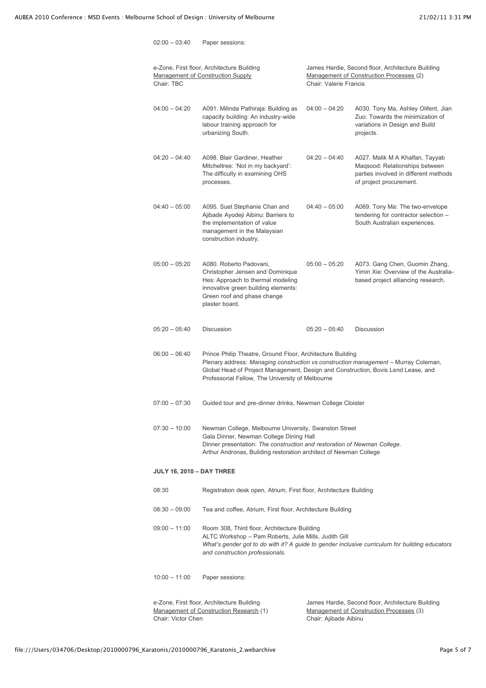| Chair: TBC                       | e-Zone, First floor, Architecture Building<br>Management of Construction Supply                                                                                                                                                                                                            | Chair: Valerie Francis | James Hardie, Second floor, Architecture Building<br>Management of Construction Processes (2)                                         |
|----------------------------------|--------------------------------------------------------------------------------------------------------------------------------------------------------------------------------------------------------------------------------------------------------------------------------------------|------------------------|---------------------------------------------------------------------------------------------------------------------------------------|
| $04:00 - 04:20$                  | A091. Milinda Pathiraja: Building as<br>capacity building: An industry-wide<br>labour training approach for<br>urbanizing South.                                                                                                                                                           | $04:00 - 04:20$        | A030. Tony Ma, Ashley Olifent, Jian<br>Zuo: Towards the minimization of<br>variations in Design and Build<br>projects.                |
| $04:20 - 04:40$                  | A098. Blair Gardiner, Heather<br>Mitcheltree: 'Not in my backyard':<br>The difficulty in examining OHS<br>processes.                                                                                                                                                                       | $04:20 - 04:40$        | A027. Malik M A Khalfan, Tayyab<br>Magsood: Relationships between<br>parties involved in different methods<br>of project procurement. |
| $04:40 - 05:00$                  | A095. Suet Stephanie Chan and<br>Ajibade Ayodeji Aibinu: Barriers to<br>the implementation of value<br>management in the Malaysian<br>construction industry.                                                                                                                               | $04:40 - 05:00$        | A069. Tony Ma: The two-envelope<br>tendering for contractor selection -<br>South Australian experiences.                              |
| $05:00 - 05:20$                  | A080. Roberto Padovani.<br>Christopher Jensen and Dominique<br>Hes: Approach to thermal modeling<br>innovative green building elements:<br>Green roof and phase change<br>plaster board.                                                                                                   | $05:00 - 05:20$        | A073. Gang Chen, Guomin Zhang,<br>Yimin Xie: Overview of the Australia-<br>based project alliancing research.                         |
| $05:20 - 05:40$                  | <b>Discussion</b>                                                                                                                                                                                                                                                                          | $05:20 - 05:40$        | <b>Discussion</b>                                                                                                                     |
| $06:00 - 06:40$                  | Prince Philip Theatre, Ground Floor, Architecture Building<br>Plenary address: Managing construction vs construction management - Murray Coleman,<br>Global Head of Project Management, Design and Construction, Bovis Lend Lease, and<br>Professorial Fellow, The University of Melbourne |                        |                                                                                                                                       |
| $07:00 - 07:30$                  | Guided tour and pre-dinner drinks, Newman College Cloister                                                                                                                                                                                                                                 |                        |                                                                                                                                       |
| $07:30 - 10:00$                  | Newman College, Melbourne University, Swanston Street<br>Gala Dinner, Newman College Dining Hall<br>Dinner presentation: The construction and restoration of Newman College.<br>Arthur Andronas, Building restoration architect of Newman College                                          |                        |                                                                                                                                       |
| <b>JULY 16, 2010 - DAY THREE</b> |                                                                                                                                                                                                                                                                                            |                        |                                                                                                                                       |
| 08:30                            | Registration desk open, Atrium, First floor, Architecture Building                                                                                                                                                                                                                         |                        |                                                                                                                                       |
| $08:30 - 09:00$                  | Tea and coffee, Atrium, First floor, Architecture Building                                                                                                                                                                                                                                 |                        |                                                                                                                                       |
| $09:00 - 11:00$                  | Room 308, Third floor, Architecture Building<br>ALTC Workshop - Pam Roberts, Julie Mills, Judith Gill<br>What's gender got to do with it? A guide to gender inclusive curriculum for building educators<br>and construction professionals.                                                 |                        |                                                                                                                                       |
| $10:00 - 11:00$                  | Paper sessions:                                                                                                                                                                                                                                                                            |                        |                                                                                                                                       |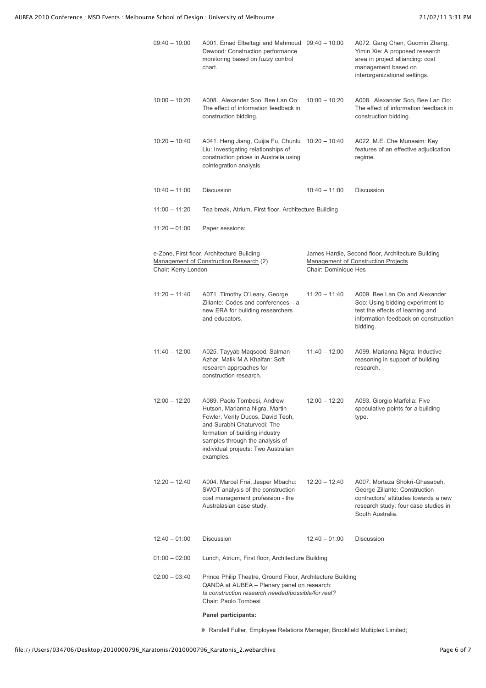| $09:40 - 10:00$     | A001. Emad Elbeltagi and Mahmoud 09:40 - 10:00<br>Dawood: Construction performance<br>monitoring based on fuzzy control<br>chart.                                                                                                                          |                      | A072. Gang Chen, Guomin Zhang,<br>Yimin Xie: A proposed research<br>area in project alliancing: cost<br>management based on<br>interorganizational settings.        |
|---------------------|------------------------------------------------------------------------------------------------------------------------------------------------------------------------------------------------------------------------------------------------------------|----------------------|---------------------------------------------------------------------------------------------------------------------------------------------------------------------|
| $10:00 - 10:20$     | A008. Alexander Soo, Bee Lan Oo:<br>The effect of information feedback in<br>construction bidding.                                                                                                                                                         | $10:00 - 10:20$      | A008. Alexander Soo, Bee Lan Oo:<br>The effect of information feedback in<br>construction bidding.                                                                  |
| $10:20 - 10:40$     | A041. Heng Jiang, Cuijia Fu, Chunlu 10:20 - 10:40<br>Liu: Investigating relationships of<br>construction prices in Australia using<br>cointegration analysis.                                                                                              |                      | A022. M.E. Che Munaaim: Key<br>features of an effective adjudication<br>regime.                                                                                     |
| $10:40 - 11:00$     | <b>Discussion</b>                                                                                                                                                                                                                                          | $10:40 - 11:00$      | <b>Discussion</b>                                                                                                                                                   |
| $11:00 - 11:20$     | Tea break, Atrium, First floor, Architecture Building                                                                                                                                                                                                      |                      |                                                                                                                                                                     |
| $11:20 - 01:00$     | Paper sessions:                                                                                                                                                                                                                                            |                      |                                                                                                                                                                     |
|                     | e-Zone, First floor, Architecture Building<br>Management of Construction Research (2)                                                                                                                                                                      |                      | James Hardie, Second floor, Architecture Building<br>Management of Construction Projects                                                                            |
| Chair: Kerry London |                                                                                                                                                                                                                                                            | Chair: Dominique Hes |                                                                                                                                                                     |
| $11:20 - 11:40$     | A071 .Timothy O'Leary, George<br>Zillante: Codes and conferences - a<br>new ERA for building researchers<br>and educators.                                                                                                                                 | $11:20 - 11:40$      | A009. Bee Lan Oo and Alexander<br>Soo: Using bidding experiment to<br>test the effects of learning and<br>information feedback on construction<br>bidding.          |
| $11:40 - 12:00$     | A025. Tayyab Maqsood, Salman<br>Azhar, Malik M A Khalfan: Soft<br>research approaches for<br>construction research.                                                                                                                                        | $11:40 - 12:00$      | A099. Marianna Nigra: Inductive<br>reasoning in support of building<br>research.                                                                                    |
| 12:00 - 12:20       | A089. Paolo Tombesi, Andrew<br>Hutson, Marianna Nigra, Martin<br>Fowler, Verity Ducos, David Teoh,<br>and Surabhi Chaturvedi: The<br>formation of building industry<br>samples through the analysis of<br>individual projects: Two Australian<br>examples. | $12:00 - 12:20$      | A093. Giorgio Marfella: Five<br>speculative points for a building<br>type.                                                                                          |
| $12:20 - 12:40$     | A004. Marcel Frei, Jasper Mbachu:<br>SWOT analysis of the construction<br>cost management profession - the<br>Australasian case study.                                                                                                                     | $12:20 - 12:40$      | A007. Morteza Shokri-Ghasabeh,<br>George Zillante: Construction<br>contractors' attitudes towards a new<br>research study: four case studies in<br>South Australia. |
| $12:40 - 01:00$     | Discussion                                                                                                                                                                                                                                                 | $12:40 - 01:00$      | Discussion                                                                                                                                                          |
| $01:00 - 02:00$     | Lunch, Atrium, First floor, Architecture Building                                                                                                                                                                                                          |                      |                                                                                                                                                                     |
| $02:00 - 03:40$     | Prince Philip Theatre, Ground Floor, Architecture Building<br>QANDA at AUBEA - Plenary panel on research:<br>Is construction research needed/possible/for real?<br>Chair: Paolo Tombesi                                                                    |                      |                                                                                                                                                                     |
|                     | Panel participants:                                                                                                                                                                                                                                        |                      |                                                                                                                                                                     |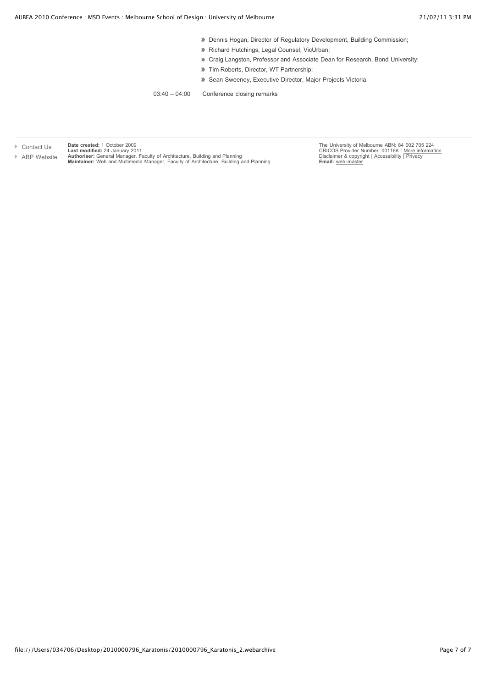- **Dennis Hogan, Director of Regulatory Development, Building Commission;**
- Richard Hutchings, Legal Counsel, VicUrban;
- **D** Craig Langston, Professor and Associate Dean for Research, Bond University;
- **Tim Roberts, Director, WT Partnership;**
- **»** Sean Sweeney, Executive Director, Major Projects Victoria.

03:40 – 04:00 Conference closing remarks

| Contact Us  | Date created: 1 October 2009                                                                                                                                                 |
|-------------|------------------------------------------------------------------------------------------------------------------------------------------------------------------------------|
|             | Last modified: 24 January 2011                                                                                                                                               |
| ABP Website | <b>Authoriser:</b> General Manager, Faculty of Architecture, Building and Planning<br>Maintainer: Web and Multimedia Manager, Faculty of Architecture, Building and Planning |
|             |                                                                                                                                                                              |

The University of Melbourne ABN: 84 002 705 224<br>CRICOS Provider Number: 00116K : <u>More information</u><br><u>Disclaimer & copyright</u> | [Accessibility](http://www.unimelb.edu.au/accessibility/) | <u>Privacy</u><br>**Email:** [web-master](http://www.abp.unimelb.edu.au/multimedia/webchanges.html)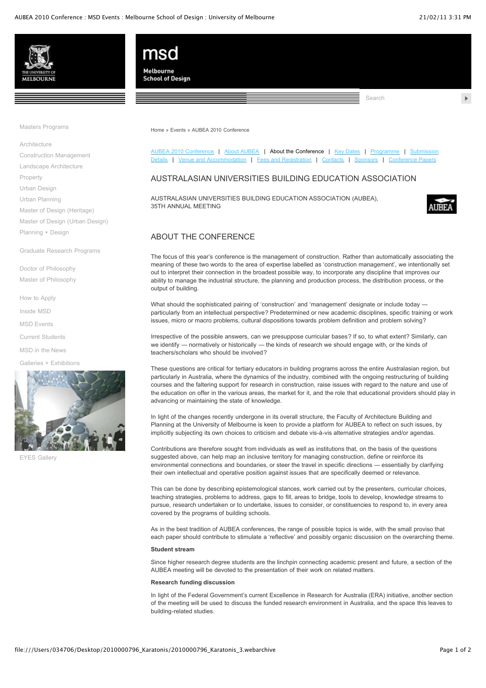Search





[Masters Programs](http://www.msd.unimelb.edu.au/events/conferences/aubea2010/about.html#)

[Architecture](http://www.msd.unimelb.edu.au/architecture/) [Construction Management](http://www.msd.unimelb.edu.au/construction/) [Landscape Architecture](http://www.msd.unimelb.edu.au/landscape/) [Property](http://www.msd.unimelb.edu.au/property/) [Urban Design](http://www.msd.unimelb.edu.au/urban-design/) [Urban Planning](http://www.msd.unimelb.edu.au/urban-planning/) [Master of Design \(Heritage\)](http://www.msd.unimelb.edu.au/design/master-of-design-(heritage).html) [Master of Design \(Urban Design\)](http://www.msd.unimelb.edu.au/design/master-of-design-(urban-design).html)

[Planning + Design](http://www.msd.unimelb.edu.au/planning-design/)

[Graduate Research Programs](http://www.msd.unimelb.edu.au/research/)

[Doctor of Philosophy](http://www.msd.unimelb.edu.au/research/doctor-of-philosophy.html) [Master of Philosophy](http://www.msd.unimelb.edu.au/research/master-of-philosophy.html)

[How to Apply](http://www.msd.unimelb.edu.au/how-to-apply/)

[Inside MSD](http://www.msd.unimelb.edu.au/inside-msd/)

[MSD Events](http://www.msd.unimelb.edu.au/events/)

[Current Students](http://www.msd.unimelb.edu.au/current-students/)

[MSD in the News](http://www.msd.unimelb.edu.au/in-the-news/)

[Galleries + Exhibitions](http://www.msd.unimelb.edu.au/galleries/index.html)



[EYES Gallery](http://www.msd.unimelb.edu.au/galleries/gallery-eyes2008.html)

[Home](http://www.msd.unimelb.edu.au/) » [Events](http://www.msd.unimelb.edu.au/events/) » [AUBEA 2010 Conference](http://www.msd.unimelb.edu.au/events/conferences/aubea2010/)

AUBEA 2010 Conference | About AUBEA | About the Conference | Key Dates | Programme | Sub Details | [Venue and Accommodation](http://www.msd.unimelb.edu.au/events/conferences/aubea2010/venue.html) | [Fees and Registration](http://www.msd.unimelb.edu.au/events/conferences/aubea2010/registration.html) | [Contacts](http://www.msd.unimelb.edu.au/events/conferences/aubea2010/contacts.html) | [Sponsors](http://www.msd.unimelb.edu.au/events/conferences/aubea2010/sponsors.html) | Cont

### AUSTRALASIAN UNIVERSITIES BUILDING EDUCATION ASSOCIATION

AUSTRALASIAN UNIVERSITIES BUILDING EDUCATION ASSOCIATION (AUBEA), 35TH ANNUAL MEETING



### ABOUT THE CONFERENCE

The focus of this year's conference is the management of construction. Rather than automatically associating the meaning of these two words to the area of expertise labelled as 'construction management', we intentionally set out to interpret their connection in the broadest possible way, to incorporate any discipline that improves our ability to manage the industrial structure, the planning and production process, the distribution process, or the output of building.

What should the sophisticated pairing of 'construction' and 'management' designate or include today particularly from an intellectual perspective? Predetermined or new academic disciplines, specific training or work issues, micro or macro problems, cultural dispositions towards problem definition and problem solving?

Irrespective of the possible answers, can we presuppose curricular bases? If so, to what extent? Similarly, can we identify — normatively or historically — the kinds of research we should engage with, or the kinds of teachers/scholars who should be involved?

These questions are critical for tertiary educators in building programs across the entire Australasian region, but particularly in Australia, where the dynamics of the industry, combined with the ongoing restructuring of building courses and the faltering support for research in construction, raise issues with regard to the nature and use of the education on offer in the various areas, the market for it, and the role that educational providers should play in advancing or maintaining the state of knowledge.

In light of the changes recently undergone in its overall structure, the Faculty of Architecture Building and Planning at the University of Melbourne is keen to provide a platform for AUBEA to reflect on such issues, by implicitly subjecting its own choices to criticism and debate vis-à-vis alternative strategies and/or agendas.

Contributions are therefore sought from individuals as well as institutions that, on the basis of the questions suggested above, can help map an inclusive territory for managing construction, define or reinforce its environmental connections and boundaries, or steer the travel in specific directions ― essentially by clarifying their own intellectual and operative position against issues that are specifically deemed or relevance.

This can be done by describing epistemological stances, work carried out by the presenters, curricular choices, teaching strategies, problems to address, gaps to fill, areas to bridge, tools to develop, knowledge streams to pursue, research undertaken or to undertake, issues to consider, or constituencies to respond to, in every area covered by the programs of building schools.

As in the best tradition of AUBEA conferences, the range of possible topics is wide, with the small proviso that each paper should contribute to stimulate a 'reflective' and possibly organic discussion on the overarching theme.

#### **Student stream**

Since higher research degree students are the linchpin connecting academic present and future, a section of the AUBEA meeting will be devoted to the presentation of their work on related matters.

#### **Research funding discussion**

In light of the Federal Government's current Excellence in Research for Australia (ERA) initiative, another section of the meeting will be used to discuss the funded research environment in Australia, and the space this leaves to building-related studies.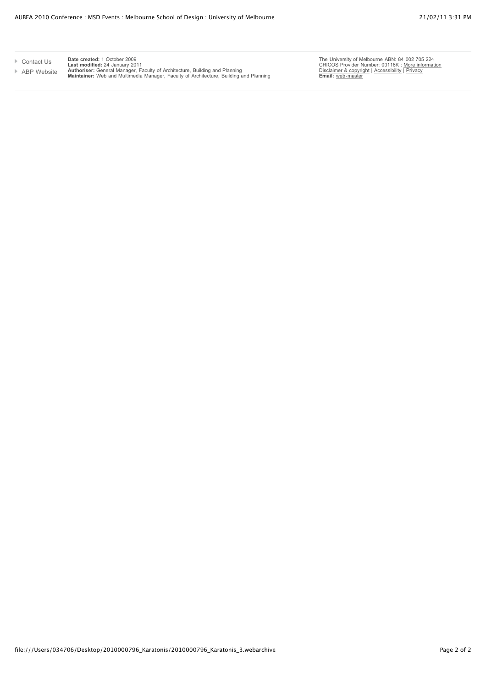[Contact Us](http://www.msd.unimelb.edu.au/contact.html) [ABP Website](http://www.abp.unimelb.edu.au/) **Date created:** 1 October 2009<br>**Last modified:** 24 January 2011<br>**Authoriser:** General Manager, Faculty of Architecture, Building and Planning<br>**Maintainer:** Web and Multimedia Manager, Faculty of Architecture, Building and

The University of Melbourne ABN: 84 002 705 224<br>CRICOS Provider Number: 00116K : <u>More information</u><br>[Disclaimer & copyright](http://www.unimelb.edu.au/disclaimer/) | [Accessibility](http://www.unimelb.edu.au/accessibility/) | <u>Privacy</u><br>**Email:** [web-master](http://www.abp.unimelb.edu.au/multimedia/webchanges.html)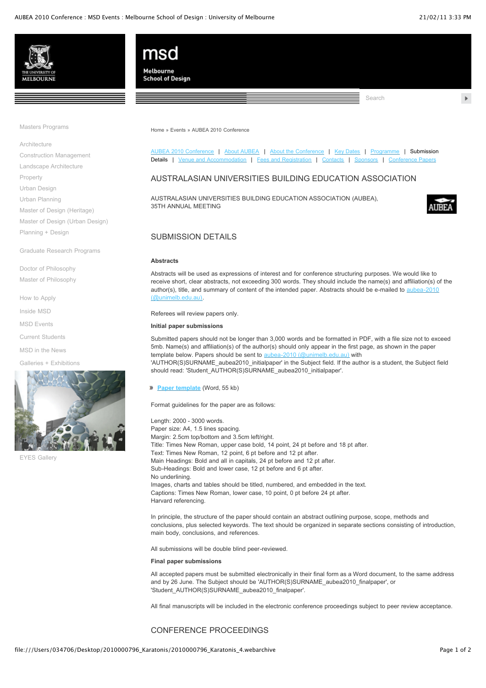Search





[Masters Programs](http://www.msd.unimelb.edu.au/events/conferences/aubea2010/submission.html#)

[Architecture](http://www.msd.unimelb.edu.au/architecture/) [Construction Management](http://www.msd.unimelb.edu.au/construction/) [Landscape Architecture](http://www.msd.unimelb.edu.au/landscape/) [Property](http://www.msd.unimelb.edu.au/property/) [Urban Design](http://www.msd.unimelb.edu.au/urban-design/)

[Urban Planning](http://www.msd.unimelb.edu.au/urban-planning/)

[Master of Design \(Heritage\)](http://www.msd.unimelb.edu.au/design/master-of-design-(heritage).html) [Master of Design \(Urban Design\)](http://www.msd.unimelb.edu.au/design/master-of-design-(urban-design).html) [Planning + Design](http://www.msd.unimelb.edu.au/planning-design/)

[Graduate Research Programs](http://www.msd.unimelb.edu.au/research/)

[Doctor of Philosophy](http://www.msd.unimelb.edu.au/research/doctor-of-philosophy.html) [Master of Philosophy](http://www.msd.unimelb.edu.au/research/master-of-philosophy.html)

[How to Apply](http://www.msd.unimelb.edu.au/how-to-apply/)

[Inside MSD](http://www.msd.unimelb.edu.au/inside-msd/)

[MSD Events](http://www.msd.unimelb.edu.au/events/)

[Current Students](http://www.msd.unimelb.edu.au/current-students/)

[MSD in the News](http://www.msd.unimelb.edu.au/in-the-news/)

[Galleries + Exhibitions](http://www.msd.unimelb.edu.au/galleries/index.html)



[EYES Gallery](http://www.msd.unimelb.edu.au/galleries/gallery-eyes2008.html)

[Home](http://www.msd.unimelb.edu.au/) » [Events](http://www.msd.unimelb.edu.au/events/) » [AUBEA 2010 Conference](http://www.msd.unimelb.edu.au/events/conferences/aubea2010/)

[AUBEA 2010 Conference](http://www.msd.unimelb.edu.au/events/conferences/aubea2010/) | [About AUBEA](http://www.msd.unimelb.edu.au/events/conferences/aubea2010/aubea.html) | [About the Conference](http://www.msd.unimelb.edu.au/events/conferences/aubea2010/about.html) | [Key Dates](http://www.msd.unimelb.edu.au/events/conferences/aubea2010/dates.html) | [Programme](http://www.msd.unimelb.edu.au/events/conferences/aubea2010/programme.html) | Submission Details | [Venue and Accommodation](http://www.msd.unimelb.edu.au/events/conferences/aubea2010/venue.html) | [Fees and Registration](http://www.msd.unimelb.edu.au/events/conferences/aubea2010/registration.html) | [Contacts](http://www.msd.unimelb.edu.au/events/conferences/aubea2010/contacts.html) | [Sponsors](http://www.msd.unimelb.edu.au/events/conferences/aubea2010/sponsors.html) | Confer

### AUSTRALASIAN UNIVERSITIES BUILDING EDUCATION ASSOCIATION

AUSTRALASIAN UNIVERSITIES BUILDING EDUCATION ASSOCIATION (AUBEA), 35TH ANNUAL MEETING



### SUBMISSION DETAILS

#### **Abstracts**

Abstracts will be used as expressions of interest and for conference structuring purposes. We would like to receive short, clear abstracts, not exceeding 300 words. They should include the name(s) and affiliation(s) of the [author\(s\), title, and summary of content of the intended paper. Abstracts should be e-mailed to aubea-2010](mailto:aubea-2010@unimelb.edu.au) (@unimelb.edu.au).

Referees will review papers only.

### **Initial paper submissions**

Submitted papers should not be longer than 3,000 words and be formatted in PDF, with a file size not to exceed 5mb. Name(s) and affiliation(s) of the author(s) should only appear in the first page, as shown in the paper template below. Papers should be sent to [aubea-2010 \(@unimelb.edu.au\)](mailto:aubea-2010@unimelb.edu.au) with

'AUTHOR(S)SURNAME\_aubea2010\_initialpaper' in the Subject field. If the author is a student, the Subject field should read: 'Student\_AUTHOR(S)SURNAME\_aubea2010\_initialpaper'.

**[Paper template](http://www.msd.unimelb.edu.au/events/conferences/aubea2010/docs/AUBEA2010-paper-template.doc)** (Word, 55 kb)

Format guidelines for the paper are as follows:

Length: 2000 - 3000 words. Paper size: A4, 1.5 lines spacing. Margin: 2.5cm top/bottom and 3.5cm left/right. Title: Times New Roman, upper case bold, 14 point, 24 pt before and 18 pt after. Text: Times New Roman, 12 point, 6 pt before and 12 pt after. Main Headings: Bold and all in capitals, 24 pt before and 12 pt after. Sub-Headings: Bold and lower case, 12 pt before and 6 pt after. No underlining. Images, charts and tables should be titled, numbered, and embedded in the text. Captions: Times New Roman, lower case, 10 point, 0 pt before 24 pt after. Harvard referencing.

In principle, the structure of the paper should contain an abstract outlining purpose, scope, methods and conclusions, plus selected keywords. The text should be organized in separate sections consisting of introduction, main body, conclusions, and references.

All submissions will be double blind peer-reviewed.

#### **Final paper submissions**

All accepted papers must be submitted electronically in their final form as a Word document, to the same address and by 26 June. The Subject should be 'AUTHOR(S)SURNAME\_aubea2010\_finalpaper', or 'Student\_AUTHOR(S)SURNAME\_aubea2010\_finalpaper'.

All final manuscripts will be included in the electronic conference proceedings subject to peer review acceptance.

#### CONFERENCE PROCEEDINGS